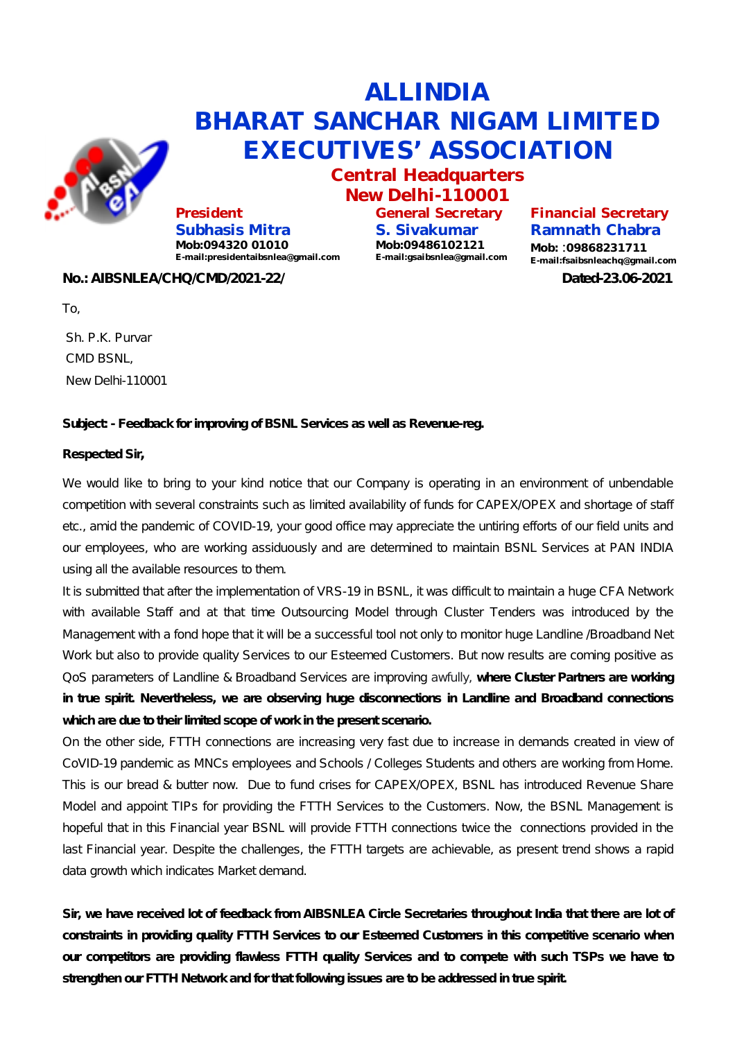

# **ALLINDIA BHARAT SANCHAR NIGAM LIMITED EXECUTIVES' ASSOCIATION Central Headquarters**

**New Delhi-110001**

**President Subhasis Mitra Mob:094320 01010 [E-mail:presidentaibsnlea@gmail.com](mailto:E-mail:presidentaibsnlea@gmail.com)** **General Secretary S. Sivakumar Mob:09486102121 [E-mail:gsaibsnlea@gmail.com](mailto:E-mail:gsaibsnlea@gmail.com)**

**Financial Secretary Ramnath Chabra**

**Mob:** :**09868231711 [E-mail:fsaibsnleachq@gmail.com](mailto:E-mail:fsaibsnleachq@gmail.com)**

## **No.: AIBSNLEA/CHQ/CMD/2021-22/ Dated-23.06-2021**

To,

Sh. P.K. Purvar CMD BSNL, New Delhi-110001

## **Subject: - Feedback for improving of BSNL Services as well as Revenue-reg.**

### **Respected Sir,**

We would like to bring to your kind notice that our Company is operating in an environment of unbendable competition with several constraints such as limited availability of funds for CAPEX/OPEX and shortage of staff etc., amid the pandemic of COVID-19, your good office may appreciate the untiring efforts of our field units and our employees, who are working assiduously and are determined to maintain BSNL Services at PAN INDIA using all the available resources to them.

It is submitted that after the implementation of VRS-19 in BSNL, it was difficult to maintain a huge CFA Network with available Staff and at that time Outsourcing Model through Cluster Tenders was introduced by the Management with a fond hope that it will be a successful tool not only to monitor huge Landline /Broadband Net Work but also to provide quality Services to our Esteemed Customers. But now results are coming positive as QoS parameters of Landline & Broadband Services are improving awfully, **where Cluster Partners are working in true spirit. Nevertheless, we are observing huge disconnections in Landline and Broadband connections which are due to their limited scope of work in the present scenario.**

On the other side, FTTH connections are increasing very fast due to increase in demands created in view of CoVID-19 pandemic as MNCs employees and Schools / Colleges Students and others are working from Home. This is our bread & butter now. Due to fund crises for CAPEX/OPEX, BSNL has introduced Revenue Share Model and appoint TIPs for providing the FTTH Services to the Customers. Now, the BSNL Management is hopeful that in this Financial year BSNL will provide FTTH connections twice the connections provided in the last Financial year. Despite the challenges, the FTTH targets are achievable, as present trend shows a rapid data growth which indicates Market demand.

**Sir, we have received lot of feedback from AIBSNLEA Circle Secretaries throughout India that there are lot of constraints in providing quality FTTH Services to our Esteemed Customers in this competitive scenario when our competitors are providing flawless FTTH quality Services and to compete with such TSPs we have to strengthen our FTTH Network and for that following issues are to be addressed in true spirit.**